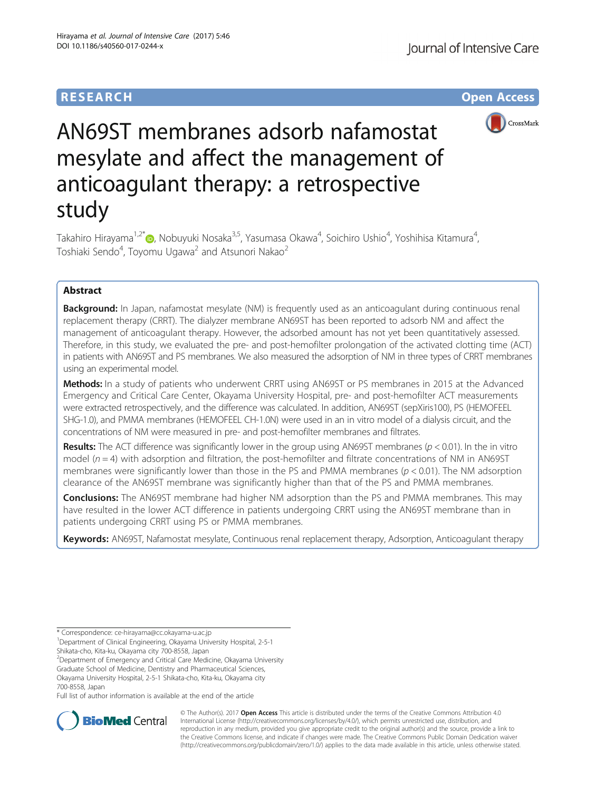## **RESEARCH CHE Open Access**



# AN69ST membranes adsorb nafamostat mesylate and affect the management of anticoagulant therapy: a retrospective study

Takahiro Hirayama<sup>1,2[\\*](http://orcid.org/0000-0002-3841-4036)</sup>៊®, Nobuyuki Nosaka<sup>3,5</sup>, Yasumasa Okawa<sup>4</sup>, Soichiro Ushio<sup>4</sup>, Yoshihisa Kitamura<sup>4</sup> , Toshiaki Sendo<sup>4</sup>, Toyomu Ugawa<sup>2</sup> and Atsunori Nakao<sup>2</sup>

## Abstract

**Background:** In Japan, nafamostat mesylate (NM) is frequently used as an anticoagulant during continuous renal replacement therapy (CRRT). The dialyzer membrane AN69ST has been reported to adsorb NM and affect the management of anticoagulant therapy. However, the adsorbed amount has not yet been quantitatively assessed. Therefore, in this study, we evaluated the pre- and post-hemofilter prolongation of the activated clotting time (ACT) in patients with AN69ST and PS membranes. We also measured the adsorption of NM in three types of CRRT membranes using an experimental model.

Methods: In a study of patients who underwent CRRT using AN69ST or PS membranes in 2015 at the Advanced Emergency and Critical Care Center, Okayama University Hospital, pre- and post-hemofilter ACT measurements were extracted retrospectively, and the difference was calculated. In addition, AN69ST (sepXiris100), PS (HEMOFEEL SHG-1.0), and PMMA membranes (HEMOFEEL CH-1.0N) were used in an in vitro model of a dialysis circuit, and the concentrations of NM were measured in pre- and post-hemofilter membranes and filtrates.

Results: The ACT difference was significantly lower in the group using AN69ST membranes ( $p < 0.01$ ). In the in vitro model  $(n = 4)$  with adsorption and filtration, the post-hemofilter and filtrate concentrations of NM in AN69ST membranes were significantly lower than those in the PS and PMMA membranes ( $p < 0.01$ ). The NM adsorption clearance of the AN69ST membrane was significantly higher than that of the PS and PMMA membranes.

**Conclusions:** The AN69ST membrane had higher NM adsorption than the PS and PMMA membranes. This may have resulted in the lower ACT difference in patients undergoing CRRT using the AN69ST membrane than in patients undergoing CRRT using PS or PMMA membranes.

Keywords: AN69ST, Nafamostat mesylate, Continuous renal replacement therapy, Adsorption, Anticoagulant therapy

\* Correspondence: [ce-hirayama@cc.okayama-u.ac.jp](mailto:ce-hirayama@cc.okayama-u.ac.jp) <sup>1</sup> Department of Clinical Engineering, Okayama University Hospital, 2-5-1

Shikata-cho, Kita-ku, Okayama city 700-8558, Japan

<sup>2</sup> Department of Emergency and Critical Care Medicine, Okayama University Graduate School of Medicine, Dentistry and Pharmaceutical Sciences,

Okayama University Hospital, 2-5-1 Shikata-cho, Kita-ku, Okayama city 700-8558, Japan

Full list of author information is available at the end of the article



© The Author(s). 2017 **Open Access** This article is distributed under the terms of the Creative Commons Attribution 4.0 International License [\(http://creativecommons.org/licenses/by/4.0/](http://creativecommons.org/licenses/by/4.0/)), which permits unrestricted use, distribution, and reproduction in any medium, provided you give appropriate credit to the original author(s) and the source, provide a link to the Creative Commons license, and indicate if changes were made. The Creative Commons Public Domain Dedication waiver [\(http://creativecommons.org/publicdomain/zero/1.0/](http://creativecommons.org/publicdomain/zero/1.0/)) applies to the data made available in this article, unless otherwise stated.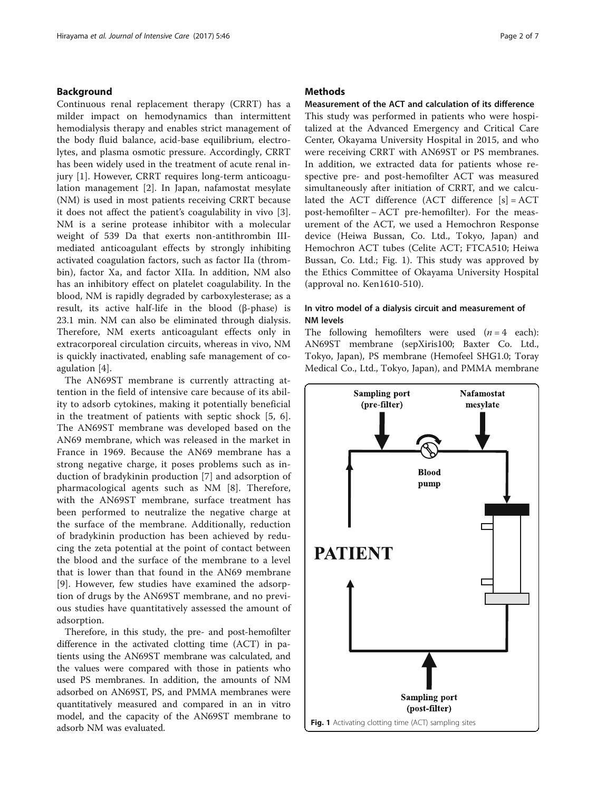## Background

Continuous renal replacement therapy (CRRT) has a milder impact on hemodynamics than intermittent hemodialysis therapy and enables strict management of the body fluid balance, acid-base equilibrium, electrolytes, and plasma osmotic pressure. Accordingly, CRRT has been widely used in the treatment of acute renal injury [[1\]](#page-5-0). However, CRRT requires long-term anticoagulation management [\[2](#page-5-0)]. In Japan, nafamostat mesylate (NM) is used in most patients receiving CRRT because it does not affect the patient's coagulability in vivo [\[3](#page-5-0)]. NM is a serine protease inhibitor with a molecular weight of 539 Da that exerts non-antithrombin IIImediated anticoagulant effects by strongly inhibiting activated coagulation factors, such as factor IIa (thrombin), factor Xa, and factor XIIa. In addition, NM also has an inhibitory effect on platelet coagulability. In the blood, NM is rapidly degraded by carboxylesterase; as a result, its active half-life in the blood (β-phase) is 23.1 min. NM can also be eliminated through dialysis. Therefore, NM exerts anticoagulant effects only in extracorporeal circulation circuits, whereas in vivo, NM is quickly inactivated, enabling safe management of coagulation [\[4](#page-5-0)].

The AN69ST membrane is currently attracting attention in the field of intensive care because of its ability to adsorb cytokines, making it potentially beneficial in the treatment of patients with septic shock [\[5](#page-5-0), [6](#page-5-0)]. The AN69ST membrane was developed based on the AN69 membrane, which was released in the market in France in 1969. Because the AN69 membrane has a strong negative charge, it poses problems such as induction of bradykinin production [[7\]](#page-5-0) and adsorption of pharmacological agents such as NM [\[8](#page-5-0)]. Therefore, with the AN69ST membrane, surface treatment has been performed to neutralize the negative charge at the surface of the membrane. Additionally, reduction of bradykinin production has been achieved by reducing the zeta potential at the point of contact between the blood and the surface of the membrane to a level that is lower than that found in the AN69 membrane [[9](#page-5-0)]. However, few studies have examined the adsorption of drugs by the AN69ST membrane, and no previous studies have quantitatively assessed the amount of adsorption.

Therefore, in this study, the pre- and post-hemofilter difference in the activated clotting time (ACT) in patients using the AN69ST membrane was calculated, and the values were compared with those in patients who used PS membranes. In addition, the amounts of NM adsorbed on AN69ST, PS, and PMMA membranes were quantitatively measured and compared in an in vitro model, and the capacity of the AN69ST membrane to adsorb NM was evaluated.

## **Methods**

## Measurement of the ACT and calculation of its difference

This study was performed in patients who were hospitalized at the Advanced Emergency and Critical Care Center, Okayama University Hospital in 2015, and who were receiving CRRT with AN69ST or PS membranes. In addition, we extracted data for patients whose respective pre- and post-hemofilter ACT was measured simultaneously after initiation of CRRT, and we calculated the ACT difference  $[ACT]$  difference  $[s] = ACT$ post-hemofilter − ACT pre-hemofilter). For the measurement of the ACT, we used a Hemochron Response device (Heiwa Bussan, Co. Ltd., Tokyo, Japan) and Hemochron ACT tubes (Celite ACT; FTCA510; Heiwa Bussan, Co. Ltd.; Fig. 1). This study was approved by the Ethics Committee of Okayama University Hospital (approval no. Ken1610-510).

## In vitro model of a dialysis circuit and measurement of NM levels

The following hemofilters were used  $(n = 4 \text{ each})$ : AN69ST membrane (sepXiris100; Baxter Co. Ltd., Tokyo, Japan), PS membrane (Hemofeel SHG1.0; Toray Medical Co., Ltd., Tokyo, Japan), and PMMA membrane

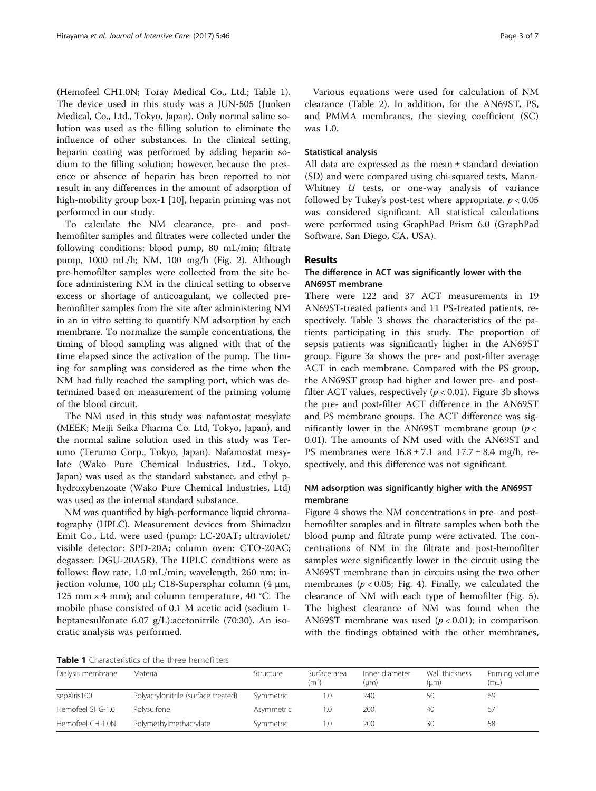(Hemofeel CH1.0N; Toray Medical Co., Ltd.; Table 1). The device used in this study was a JUN-505 (Junken Medical, Co., Ltd., Tokyo, Japan). Only normal saline solution was used as the filling solution to eliminate the influence of other substances. In the clinical setting, heparin coating was performed by adding heparin sodium to the filling solution; however, because the presence or absence of heparin has been reported to not result in any differences in the amount of adsorption of high-mobility group box-1 [\[10](#page-5-0)], heparin priming was not performed in our study.

To calculate the NM clearance, pre- and posthemofilter samples and filtrates were collected under the following conditions: blood pump, 80 mL/min; filtrate pump, 1000 mL/h; NM, 100 mg/h (Fig. [2\)](#page-3-0). Although pre-hemofilter samples were collected from the site before administering NM in the clinical setting to observe excess or shortage of anticoagulant, we collected prehemofilter samples from the site after administering NM in an in vitro setting to quantify NM adsorption by each membrane. To normalize the sample concentrations, the timing of blood sampling was aligned with that of the time elapsed since the activation of the pump. The timing for sampling was considered as the time when the NM had fully reached the sampling port, which was determined based on measurement of the priming volume of the blood circuit.

The NM used in this study was nafamostat mesylate (MEEK; Meiji Seika Pharma Co. Ltd, Tokyo, Japan), and the normal saline solution used in this study was Terumo (Terumo Corp., Tokyo, Japan). Nafamostat mesylate (Wako Pure Chemical Industries, Ltd., Tokyo, Japan) was used as the standard substance, and ethyl phydroxybenzoate (Wako Pure Chemical Industries, Ltd) was used as the internal standard substance.

NM was quantified by high-performance liquid chromatography (HPLC). Measurement devices from Shimadzu Emit Co., Ltd. were used (pump: LC-20AT; ultraviolet/ visible detector: SPD-20A; column oven: CTO-20AC; degasser: DGU-20A5R). The HPLC conditions were as follows: flow rate, 1.0 mL/min; wavelength, 260 nm; injection volume, 100 μL; C18-Supersphar column (4 μm, 125 mm  $\times$  4 mm); and column temperature, 40 °C. The mobile phase consisted of 0.1 M acetic acid (sodium 1 heptanesulfonate 6.07 g/L):acetonitrile (70:30). An isocratic analysis was performed.

Various equations were used for calculation of NM clearance (Table [2\)](#page-3-0). In addition, for the AN69ST, PS, and PMMA membranes, the sieving coefficient (SC) was 1.0.

## Statistical analysis

All data are expressed as the mean ± standard deviation (SD) and were compared using chi-squared tests, Mann-Whitney *U* tests, or one-way analysis of variance followed by Tukey's post-test where appropriate.  $p < 0.05$ was considered significant. All statistical calculations were performed using GraphPad Prism 6.0 (GraphPad Software, San Diego, CA, USA).

## Results

## The difference in ACT was significantly lower with the AN69ST membrane

There were 122 and 37 ACT measurements in 19 AN69ST-treated patients and 11 PS-treated patients, respectively. Table [3](#page-3-0) shows the characteristics of the patients participating in this study. The proportion of sepsis patients was significantly higher in the AN69ST group. Figure [3a](#page-4-0) shows the pre- and post-filter average ACT in each membrane. Compared with the PS group, the AN69ST group had higher and lower pre- and postfilter ACT values, respectively ( $p < 0.01$ ). Figure [3b](#page-4-0) shows the pre- and post-filter ACT difference in the AN69ST and PS membrane groups. The ACT difference was significantly lower in the AN69ST membrane group ( $p <$ 0.01). The amounts of NM used with the AN69ST and PS membranes were  $16.8 \pm 7.1$  and  $17.7 \pm 8.4$  mg/h, respectively, and this difference was not significant.

## NM adsorption was significantly higher with the AN69ST membrane

Figure [4](#page-4-0) shows the NM concentrations in pre- and posthemofilter samples and in filtrate samples when both the blood pump and filtrate pump were activated. The concentrations of NM in the filtrate and post-hemofilter samples were significantly lower in the circuit using the AN69ST membrane than in circuits using the two other membranes ( $p < 0.05$ ; Fig. [4](#page-4-0)). Finally, we calculated the clearance of NM with each type of hemofilter (Fig. [5](#page-5-0)). The highest clearance of NM was found when the AN69ST membrane was used ( $p < 0.01$ ); in comparison with the findings obtained with the other membranes,

|  | <b>Table 1</b> Characteristics of the three hemofilters |  |  |  |
|--|---------------------------------------------------------|--|--|--|
|--|---------------------------------------------------------|--|--|--|

| Dialysis membrane | Material                            | Structure  | Surface area<br>(m <sup>2</sup> ) | Inner diameter<br>(um) | Wall thickness<br>(num) | Priming volume<br>(mL) |
|-------------------|-------------------------------------|------------|-----------------------------------|------------------------|-------------------------|------------------------|
| sepXiris100       | Polyacrylonitrile (surface treated) | Symmetric  | 1.0                               | 240                    | 50                      | 69                     |
| Hemofeel SHG-1.0  | Polysulfone                         | Asymmetric | 1.0                               | 200                    | 40                      | 67                     |
| Hemofeel CH-1.0N  | Polymethylmethacrylate              | Symmetric  | 1.0                               | 200                    | 30                      | 58                     |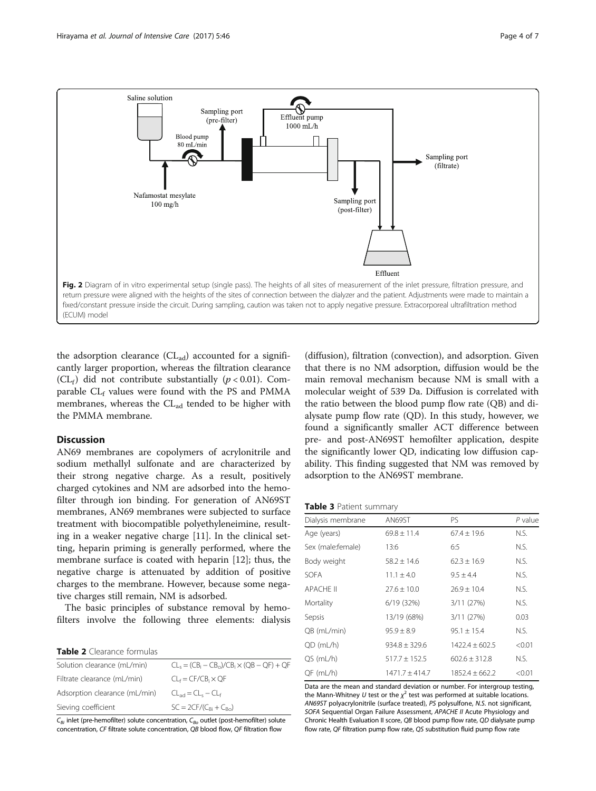<span id="page-3-0"></span>

the adsorption clearance  $CL_{ad}$  accounted for a significantly larger proportion, whereas the filtration clearance (CL<sub>f</sub>) did not contribute substantially ( $p < 0.01$ ). Comparable  $CL<sub>f</sub>$  values were found with the PS and PMMA membranes, whereas the  $CL_{ad}$  tended to be higher with the PMMA membrane.

## **Discussion**

AN69 membranes are copolymers of acrylonitrile and sodium methallyl sulfonate and are characterized by their strong negative charge. As a result, positively charged cytokines and NM are adsorbed into the hemofilter through ion binding. For generation of AN69ST membranes, AN69 membranes were subjected to surface treatment with biocompatible polyethyleneimine, resulting in a weaker negative charge [[11\]](#page-6-0). In the clinical setting, heparin priming is generally performed, where the membrane surface is coated with heparin [[12](#page-6-0)]; thus, the negative charge is attenuated by addition of positive charges to the membrane. However, because some negative charges still remain, NM is adsorbed.

The basic principles of substance removal by hemofilters involve the following three elements: dialysis

|  |  | Table 2 Clearance formulas |
|--|--|----------------------------|
|--|--|----------------------------|

| $CLs = (CBi - CBo)/CBi × (QB - QF) + QF$   |
|--------------------------------------------|
| $CL_f = CF/CB_i \times OF$                 |
| $CL_{ad} = CL_{c} - CL_{f}$                |
| $SC = 2CF/(C_{\text{Ri}} + C_{\text{Ro}})$ |
|                                            |

 $C_{Bi}$  inlet (pre-hemofilter) solute concentration,  $C_{Bo}$  outlet (post-hemofilter) solute concentration, CF filtrate solute concentration, QB blood flow, QF filtration flow

(diffusion), filtration (convection), and adsorption. Given that there is no NM adsorption, diffusion would be the main removal mechanism because NM is small with a molecular weight of 539 Da. Diffusion is correlated with the ratio between the blood pump flow rate (QB) and dialysate pump flow rate (QD). In this study, however, we found a significantly smaller ACT difference between pre- and post-AN69ST hemofilter application, despite the significantly lower QD, indicating low diffusion capability. This finding suggested that NM was removed by adsorption to the AN69ST membrane.

## Table 3 Patient summary

| Dialysis membrane | AN69ST            | PS                 | $P$ value |
|-------------------|-------------------|--------------------|-----------|
| Age (years)       | $69.8 \pm 11.4$   | $67.4 \pm 19.6$    | N.S.      |
| Sex (male:female) | 13:6              | 6:5                | N.S.      |
| Body weight       | $58.2 \pm 14.6$   | $62.3 \pm 16.9$    | N.S.      |
| <b>SOFA</b>       | $11.1 \pm 4.0$    | $9.5 \pm 4.4$      | N.S.      |
| <b>APACHE II</b>  | $27.6 \pm 10.0$   | $26.9 \pm 10.4$    | N.S.      |
| Mortality         | 6/19 (32%)        | 3/11 (27%)         | N.S.      |
| Sepsis            | 13/19 (68%)       | 3/11 (27%)         | 0.03      |
| QB (mL/min)       | $95.9 \pm 8.9$    | $95.1 \pm 15.4$    | N.S.      |
| $QD$ (mL/h)       | $934.8 \pm 329.6$ | $1422.4 \pm 602.5$ | < 0.01    |
| $QS$ (mL/h)       | $517.7 \pm 152.5$ | $602.6 \pm 312.8$  | N.S.      |
| $QF$ (mL/h)       | 1471.7 ± 414.7    | $1852.4 \pm 662.2$ | < 0.01    |

Data are the mean and standard deviation or number. For intergroup testing, the Mann-Whitney U test or the  $\chi^2$  test was performed at suitable locations. AN69ST polyacrylonitrile (surface treated), PS polysulfone, N.S. not significant, SOFA Sequential Organ Failure Assessment, APACHE II Acute Physiology and Chronic Health Evaluation II score, QB blood pump flow rate, QD dialysate pump flow rate, QF filtration pump flow rate, QS substitution fluid pump flow rate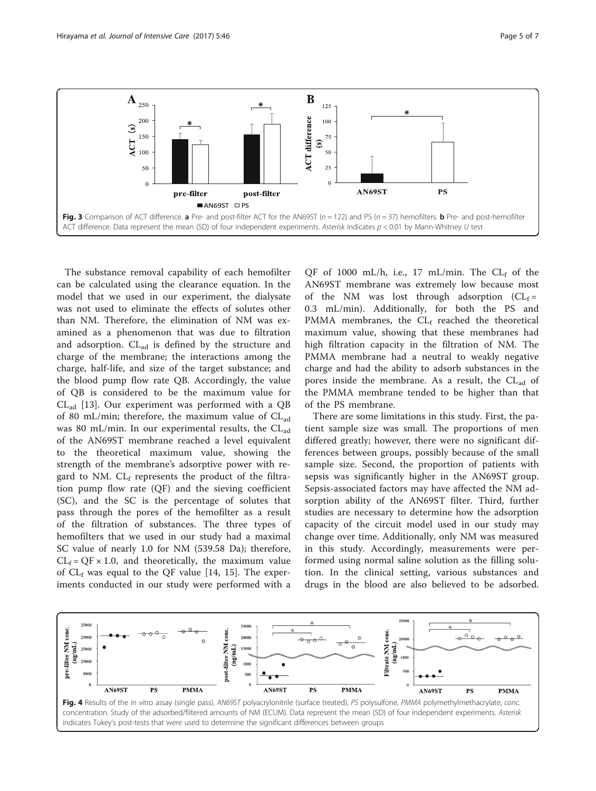<span id="page-4-0"></span>

The substance removal capability of each hemofilter can be calculated using the clearance equation. In the model that we used in our experiment, the dialysate was not used to eliminate the effects of solutes other than NM. Therefore, the elimination of NM was examined as a phenomenon that was due to filtration and adsorption.  $CL_{ad}$  is defined by the structure and charge of the membrane; the interactions among the charge, half-life, and size of the target substance; and the blood pump flow rate QB. Accordingly, the value of QB is considered to be the maximum value for  $CL_{ad}$  [\[13](#page-6-0)]. Our experiment was performed with a QB of 80 mL/min; therefore, the maximum value of  $CL_{ad}$ was 80 mL/min. In our experimental results, the  $CL_{ad}$ of the AN69ST membrane reached a level equivalent to the theoretical maximum value, showing the strength of the membrane's adsorptive power with regard to NM.  $CL_f$  represents the product of the filtration pump flow rate (QF) and the sieving coefficient (SC), and the SC is the percentage of solutes that pass through the pores of the hemofilter as a result of the filtration of substances. The three types of hemofilters that we used in our study had a maximal SC value of nearly 1.0 for NM (539.58 Da); therefore,  $CL_f = QF \times 1.0$ , and theoretically, the maximum value of  $CL_f$  was equal to the QF value [\[14](#page-6-0), [15](#page-6-0)]. The experiments conducted in our study were performed with a

QF of 1000 mL/h, i.e., 17 mL/min. The  $CL_f$  of the AN69ST membrane was extremely low because most of the NM was lost through adsorption  $CL_f =$ 0.3 mL/min). Additionally, for both the PS and PMMA membranes, the  $CL<sub>f</sub>$  reached the theoretical maximum value, showing that these membranes had high filtration capacity in the filtration of NM. The PMMA membrane had a neutral to weakly negative charge and had the ability to adsorb substances in the pores inside the membrane. As a result, the  $CL_{ad}$  of the PMMA membrane tended to be higher than that of the PS membrane.

There are some limitations in this study. First, the patient sample size was small. The proportions of men differed greatly; however, there were no significant differences between groups, possibly because of the small sample size. Second, the proportion of patients with sepsis was significantly higher in the AN69ST group. Sepsis-associated factors may have affected the NM adsorption ability of the AN69ST filter. Third, further studies are necessary to determine how the adsorption capacity of the circuit model used in our study may change over time. Additionally, only NM was measured in this study. Accordingly, measurements were performed using normal saline solution as the filling solution. In the clinical setting, various substances and drugs in the blood are also believed to be adsorbed.

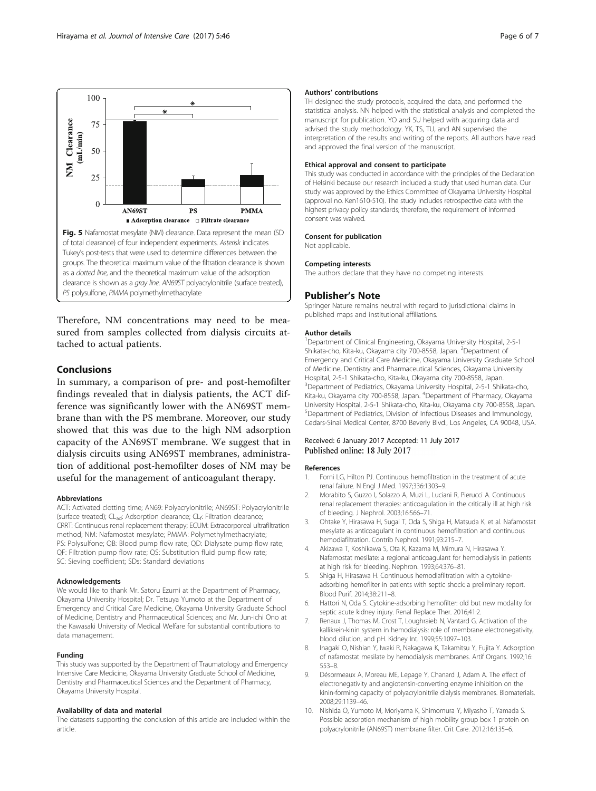<span id="page-5-0"></span>

Therefore, NM concentrations may need to be measured from samples collected from dialysis circuits attached to actual patients.

## Conclusions

In summary, a comparison of pre- and post-hemofilter findings revealed that in dialysis patients, the ACT difference was significantly lower with the AN69ST membrane than with the PS membrane. Moreover, our study showed that this was due to the high NM adsorption capacity of the AN69ST membrane. We suggest that in dialysis circuits using AN69ST membranes, administration of additional post-hemofilter doses of NM may be useful for the management of anticoagulant therapy.

#### Abbreviations

ACT: Activated clotting time; AN69: Polyacrylonitrile; AN69ST: Polyacrylonitrile (surface treated); CL<sub>ad</sub>: Adsorption clearance; CL<sub>f</sub>: Filtration clearance; CRRT: Continuous renal replacement therapy; ECUM: Extracorporeal ultrafiltration method; NM: Nafamostat mesylate; PMMA: Polymethylmethacrylate; PS: Polysulfone; QB: Blood pump flow rate; QD: Dialysate pump flow rate; QF: Filtration pump flow rate; QS: Substitution fluid pump flow rate; SC: Sieving coefficient; SDs: Standard deviations

#### Acknowledgements

We would like to thank Mr. Satoru Ezumi at the Department of Pharmacy, Okayama University Hospital; Dr. Tetsuya Yumoto at the Department of Emergency and Critical Care Medicine, Okayama University Graduate School of Medicine, Dentistry and Pharmaceutical Sciences; and Mr. Jun-ichi Ono at the Kawasaki University of Medical Welfare for substantial contributions to data management.

#### Funding

This study was supported by the Department of Traumatology and Emergency Intensive Care Medicine, Okayama University Graduate School of Medicine, Dentistry and Pharmaceutical Sciences and the Department of Pharmacy, Okayama University Hospital.

#### Availability of data and material

The datasets supporting the conclusion of this article are included within the article.

#### Authors' contributions

TH designed the study protocols, acquired the data, and performed the statistical analysis. NN helped with the statistical analysis and completed the manuscript for publication. YO and SU helped with acquiring data and advised the study methodology. YK, TS, TU, and AN supervised the interpretation of the results and writing of the reports. All authors have read and approved the final version of the manuscript.

#### Ethical approval and consent to participate

This study was conducted in accordance with the principles of the Declaration of Helsinki because our research included a study that used human data. Our study was approved by the Ethics Committee of Okayama University Hospital (approval no. Ken1610-510). The study includes retrospective data with the highest privacy policy standards; therefore, the requirement of informed consent was waived.

#### Consent for publication

Not applicable.

#### Competing interests

The authors declare that they have no competing interests.

#### Publisher's Note

Springer Nature remains neutral with regard to jurisdictional claims in published maps and institutional affiliations.

#### Author details

1 Department of Clinical Engineering, Okayama University Hospital, 2-5-1 Shikata-cho, Kita-ku, Okayama city 700-8558, Japan. <sup>2</sup>Department of Emergency and Critical Care Medicine, Okayama University Graduate School of Medicine, Dentistry and Pharmaceutical Sciences, Okayama University Hospital, 2-5-1 Shikata-cho, Kita-ku, Okayama city 700-8558, Japan. <sup>3</sup> Department of Pediatrics, Okayama University Hospital, 2-5-1 Shikata-cho, Kita-ku, Okayama city 700-8558, Japan. <sup>4</sup>Department of Pharmacy, Okayama University Hospital, 2-5-1 Shikata-cho, Kita-ku, Okayama city 700-8558, Japan. 5 Department of Pediatrics, Division of Infectious Diseases and Immunology, Cedars-Sinai Medical Center, 8700 Beverly Blvd., Los Angeles, CA 90048, USA.

## Received: 6 January 2017 Accepted: 11 July 2017 Published online: 18 July 2017

#### References

- 1. Forni LG, Hilton PJ. Continuous hemofiltration in the treatment of acute renal failure. N Engl J Med. 1997;336:1303–9.
- 2. Morabito S, Guzzo I, Solazzo A, Muzi L, Luciani R, Pierucci A. Continuous renal replacement therapies: anticoagulation in the critically ill at high risk of bleeding. J Nephrol. 2003;16:566–71.
- 3. Ohtake Y, Hirasawa H, Sugai T, Oda S, Shiga H, Matsuda K, et al. Nafamostat mesylate as anticoagulant in continuous hemofiltration and continuous hemodiafiltration. Contrib Nephrol. 1991;93:215–7.
- 4. Akizawa T, Koshikawa S, Ota K, Kazama M, Mimura N, Hirasawa Y. Nafamostat mesilate: a regional anticoagulant for hemodialysis in patients at high risk for bleeding. Nephron. 1993;64:376–81.
- 5. Shiga H, Hirasawa H. Continuous hemodiafiltration with a cytokineadsorbing hemofilter in patients with septic shock: a preliminary report. Blood Purif. 2014;38:211–8.
- 6. Hattori N, Oda S. Cytokine-adsorbing hemofilter: old but new modality for septic acute kidney injury. Renal Replace Ther. 2016;41:2.
- 7. Renaux J, Thomas M, Crost T, Loughraieb N, Vantard G. Activation of the kallikrein-kinin system in hemodialysis: role of membrane electronegativity, blood dilution, and pH. Kidney Int. 1999;55:1097–103.
- 8. Inagaki O, Nishian Y, Iwaki R, Nakagawa K, Takamitsu Y, Fujita Y. Adsorption of nafamostat mesilate by hemodialysis membranes. Artif Organs. 1992;16: 553–8.
- 9. Désormeaux A, Moreau ME, Lepage Y, Chanard J, Adam A. The effect of electronegativity and angiotensin-converting enzyme inhibition on the kinin-forming capacity of polyacrylonitrile dialysis membranes. Biomaterials. 2008;29:1139–46.
- 10. Nishida O, Yumoto M, Moriyama K, Shimomura Y, Miyasho T, Yamada S. Possible adsorption mechanism of high mobility group box 1 protein on polyacrylonitrile (AN69ST) membrane filter. Crit Care. 2012;16:135–6.